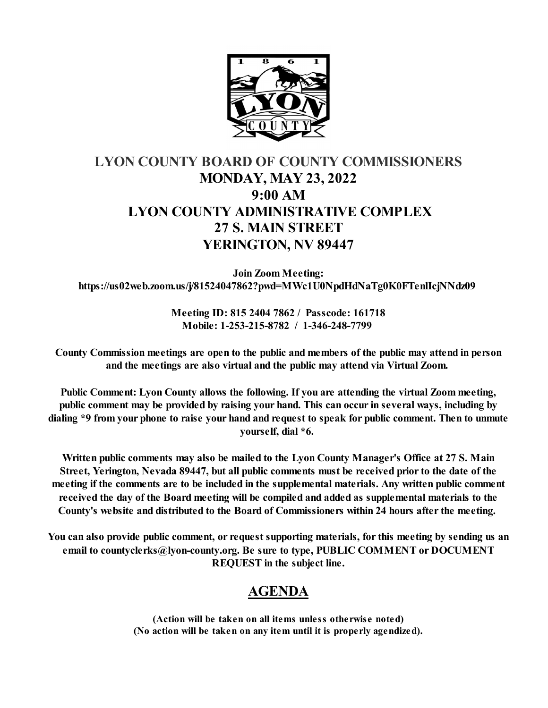

# **LYON COUNTY BOARD OF COUNTY COMMISSIONERS MONDAY, MAY 23, 2022 9:00 AM LYON COUNTY ADMINISTRATIVE COMPLEX 27 S. MAIN STREET YERINGTON, NV 89447**

**Join Zoom Meeting: https://us02web.zoom.us/j/81524047862?pwd=MWc1U0NpdHdNaTg0K0FTenlIcjNNdz09** 

> **Meeting ID: 815 2404 7862 / Passcode: 161718 Mobile: 1-253-215-8782 / 1-346-248-7799**

**County Commission meetings are open to the public and members of the public may attend in person and the meetings are also virtual and the public may attend via Virtual Zoom.** 

**Public Comment: Lyon County allows the following. If you are attending the virtual Zoom meeting, public comment may be provided by raising your hand. This can occur in several ways, including by dialing \*9 from your phone to raise your hand and request to speak for public comment. Then to unmute yourself, dial \*6.** 

**Written public comments may also be mailed to the Lyon County Manager's Office at 27 S. Main Street, Yerington, Nevada 89447, but all public comments must be received prior to the date of the meeting if the comments are to be included in the supplemental materials. Any written public comment received the day of the Board meeting will be compiled and added as supplemental materials to the County's website and distributed to the Board of Commissioners within 24 hours after the meeting.** 

**You can also provide public comment, or request supporting materials, for this meeting by sending us an email to countyclerks@lyon-county.org. Be sure to type, PUBLIC COMMENT or DOCUMENT REQUEST in the subject line.**

## **AGENDA**

**(Action will be taken on all items unless otherwise noted) (No action will be taken on any item until it is properly agendized).**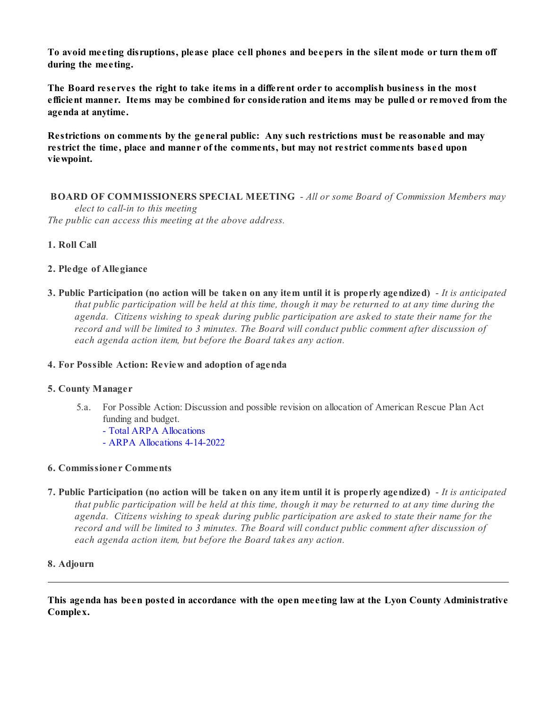**To avoid meeting disruptions, please place cell phones and beepers in the silent mode or turn them off during the meeting.**

**The Board reserves the right to take items in a different order to accomplish business in the most efficient manner. Items may be combined for consideration and items may be pulled or removed from the agenda at anytime.** 

**Restrictions on comments by the general public: Any such restrictions must be reasonable and may restrict the time, place and manner of the comments, but may not restrict comments based upon viewpoint.**

 **BOARD OF COMMISSIONERS SPECIAL MEETING** - *All or some Board of Commission Members may elect to call-in to this meeting The public can access this meeting at the above address.*

### **1. Roll Call**

#### **2. Pledge of Allegiance**

**3. Public Participation (no action will be taken on any item until it is properly agendized)** - *It is anticipated that public participation will be held at this time, though it may be returned to at any time during the agenda. Citizens wishing to speak during public participation are asked to state their name for the record and will be limited to 3 minutes. The Board will conduct public comment after discussion of each agenda action item, but before the Board takes any action.*

#### **4. For Possible Action: Review and adoption of agenda**

#### **5. County Manager**

- 5.a. For Possible Action: Discussion and possible revision on allocation of American Rescue Plan Act funding and budget.
	- [Total ARPA Allocations](https://legistarweb-production.s3.amazonaws.com/uploads/attachment/pdf/1383340/ARPA_Allocations.pdf)
	- [ARPA Allocations 4-14-2022](https://legistarweb-production.s3.amazonaws.com/uploads/attachment/pdf/1383341/ARPA_Allocations_as_of_4-14-2022.pdf)

#### **6. Commissioner Comments**

**7. Public Participation (no action will be taken on any item until it is properly agendized)** - *It is anticipated that public participation will be held at this time, though it may be returned to at any time during the agenda. Citizens wishing to speak during public participation are asked to state their name for the record and will be limited to 3 minutes. The Board will conduct public comment after discussion of each agenda action item, but before the Board takes any action.*

#### **8. Adjourn**

**This agenda has been posted in accordance with the open meeting law at the Lyon County Administrative Complex.**